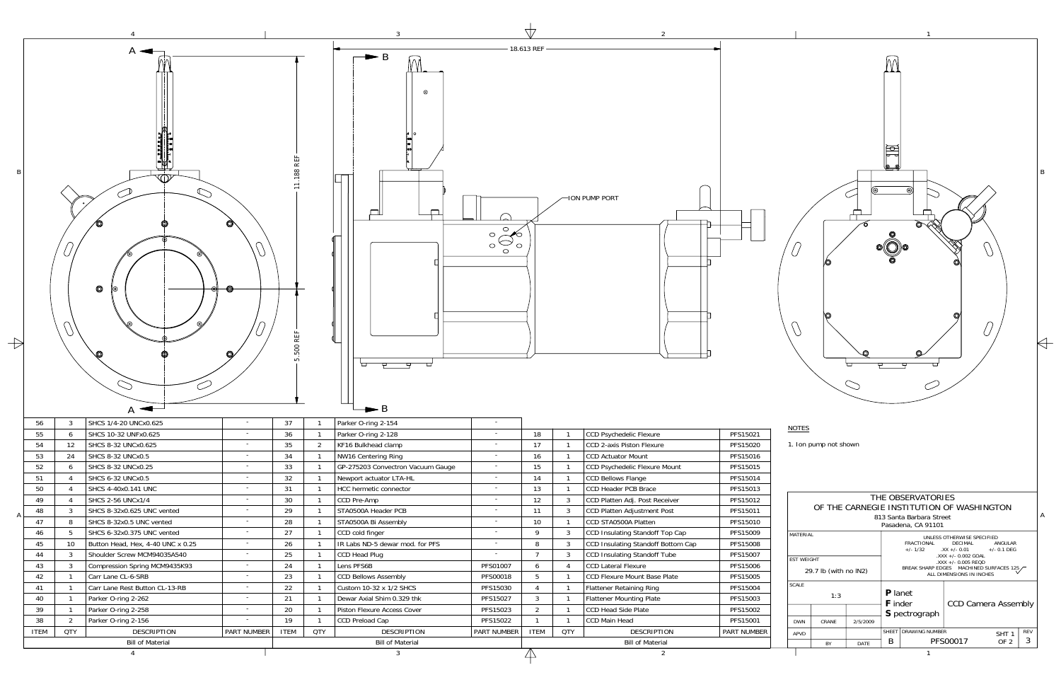